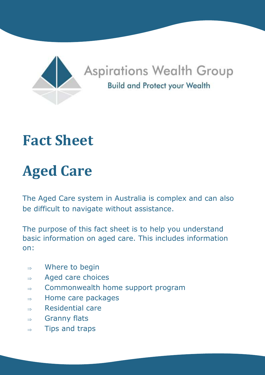

## **Fact Sheet**

# **Aged Care**

The Aged Care system in Australia is complex and can also be difficult to navigate without assistance.

The purpose of this fact sheet is to help you understand basic information on aged care. This includes information on:

- $\Rightarrow$  Where to begin
- $\Rightarrow$  Aged care choices
- $\Rightarrow$  Commonwealth home support program
- $\Rightarrow$  Home care packages
- $\Rightarrow$  Residential care
- $\Rightarrow$  Granny flats
- $\Rightarrow$  Tips and traps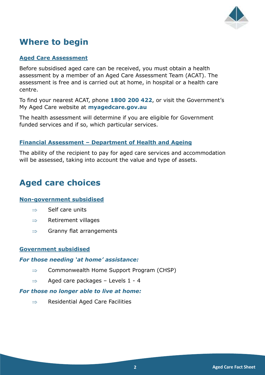

## **Where to begin**

#### **Aged Care Assessment**

Before subsidised aged care can be received, you must obtain a health assessment by a member of an Aged Care Assessment Team (ACAT). The assessment is free and is carried out at home, in hospital or a health care centre.

To find your nearest ACAT, phone **1800 200 422**, or visit the Government's My Aged Care website at **myagedcare.gov.au**

The health assessment will determine if you are eligible for Government funded services and if so, which particular services.

#### **Financial Assessment – Department of Health and Ageing**

The ability of the recipient to pay for aged care services and accommodation will be assessed, taking into account the value and type of assets.

## **Aged care choices**

#### **Non-government subsidised**

- $\Rightarrow$  Self care units
- $\Rightarrow$  Retirement villages
- $\Rightarrow$  Granny flat arrangements

#### **Government subsidised**

#### *For those needing 'at home' assistance:*

- $\Rightarrow$  Commonwealth Home Support Program (CHSP)
- $\Rightarrow$  Aged care packages Levels 1 4

#### *For those no longer able to live at home:*

 $\Rightarrow$  Residential Aged Care Facilities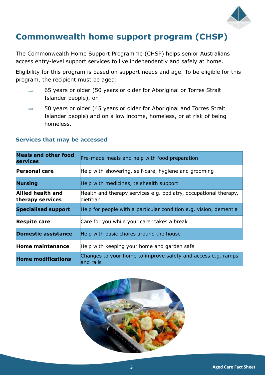

## **Commonwealth home support program (CHSP)**

The Commonwealth Home Support Programme (CHSP) helps senior Australians access entry-level support services to live independently and safely at home.

Eligibility for this program is based on support needs and age. To be eligible for this program, the recipient must be aged:

- $\Rightarrow$  65 years or older (50 years or older for Aboriginal or Torres Strait Islander people), or
- $\Rightarrow$  50 years or older (45 years or older for Aboriginal and Torres Strait Islander people) and on a low income, homeless, or at risk of being homeless.

| <b>Meals and other food</b><br><b>services</b> | Pre-made meals and help with food preparation                                 |
|------------------------------------------------|-------------------------------------------------------------------------------|
| <b>Personal care</b>                           | Help with showering, self-care, hygiene and grooming                          |
| <b>Nursing</b>                                 | Help with medicines, telehealth support                                       |
| Allied health and<br>therapy services          | Health and therapy services e.g. podiatry, occupational therapy,<br>dietitian |
| <b>Specialised support</b>                     | Help for people with a particular condition e.g. vision, dementia             |
| <b>Respite care</b>                            | Care for you while your carer takes a break                                   |
| <b>Domestic assistance</b>                     | Help with basic chores around the house                                       |
| Home maintenance                               | Help with keeping your home and garden safe                                   |
| <b>Home modifications</b>                      | Changes to your home to improve safety and access e.g. ramps<br>and rails     |

#### **Services that may be accessed**

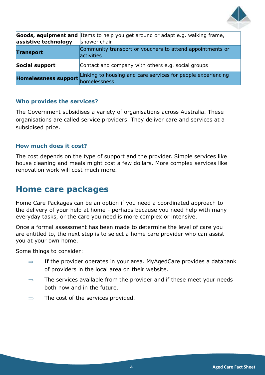

| assistive technology              | Goods, equipment and Items to help you get around or adapt e.g. walking frame,<br>shower chair |
|-----------------------------------|------------------------------------------------------------------------------------------------|
| <b>Transport</b>                  | Community transport or vouchers to attend appointments or<br>activities                        |
| Social support                    | Contact and company with others e.g. social groups                                             |
| Homelessness support homelessness | Linking to housing and care services for people experiencing                                   |

#### **Who provides the services?**

The Government subsidises a variety of organisations across Australia. These organisations are called service providers. They deliver care and services at a subsidised price.

#### **How much does it cost?**

The cost depends on the type of support and the provider. Simple services like house cleaning and meals might cost a few dollars. More complex services like renovation work will cost much more.

### **Home care packages**

Home Care Packages can be an option if you need a coordinated approach to the delivery of your help at home - perhaps because you need help with many everyday tasks, or the care you need is more complex or intensive.

Once a formal assessment has been made to determine the level of care you are entitled to, the next step is to select a home care provider who can assist you at your own home.

Some things to consider:

- $\Rightarrow$  If the provider operates in your area. MyAgedCare provides a databank of providers in the local area on their website.
- $\Rightarrow$  The services available from the provider and if these meet your needs both now and in the future.
- $\Rightarrow$  The cost of the services provided.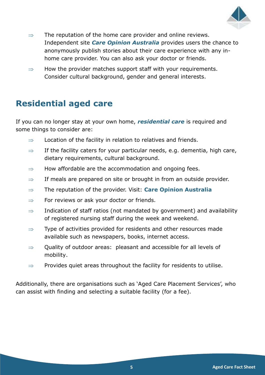

- $\Rightarrow$  The reputation of the home care provider and online reviews. Independent site *Care Opinion Australia* provides users the chance to anonymously publish stories about their care experience with any inhome care provider. You can also ask your doctor or friends.
- $\Rightarrow$  How the provider matches support staff with your requirements. Consider cultural background, gender and general interests.

## **Residential aged care**

If you can no longer stay at your own home, *residential care* is required and some things to consider are:

- $\Rightarrow$  Location of the facility in relation to relatives and friends.
- $\Rightarrow$  If the facility caters for your particular needs, e.g. dementia, high care, dietary requirements, cultural background.
- $\Rightarrow$  How affordable are the accommodation and ongoing fees.
- $\Rightarrow$  If meals are prepared on site or brought in from an outside provider.
- The reputation of the provider. Visit: **Care Opinion Australia**
- For reviews or ask your doctor or friends.
- $\Rightarrow$  Indication of staff ratios (not mandated by government) and availability of registered nursing staff during the week and weekend.
- $\Rightarrow$  Type of activities provided for residents and other resources made available such as newspapers, books, internet access.
- $\Rightarrow$  Quality of outdoor areas: pleasant and accessible for all levels of mobility.
- $\Rightarrow$  Provides quiet areas throughout the facility for residents to utilise.

Additionally, there are organisations such as 'Aged Care Placement Services', who can assist with finding and selecting a suitable facility (for a fee).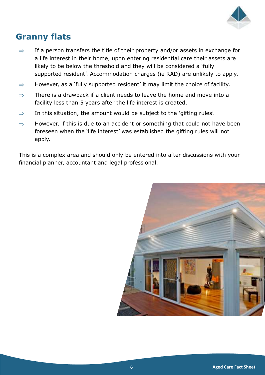

## **Granny flats**

- $\Rightarrow$  If a person transfers the title of their property and/or assets in exchange for a life interest in their home, upon entering residential care their assets are likely to be below the threshold and they will be considered a 'fully supported resident'. Accommodation charges (ie RAD) are unlikely to apply.
- $\Rightarrow$  However, as a 'fully supported resident' it may limit the choice of facility.
- $\Rightarrow$  There is a drawback if a client needs to leave the home and move into a facility less than 5 years after the life interest is created.
- $\Rightarrow$  In this situation, the amount would be subject to the 'gifting rules'.
- $\Rightarrow$  However, if this is due to an accident or something that could not have been foreseen when the 'life interest' was established the gifting rules will not apply.

This is a complex area and should only be entered into after discussions with your financial planner, accountant and legal professional.

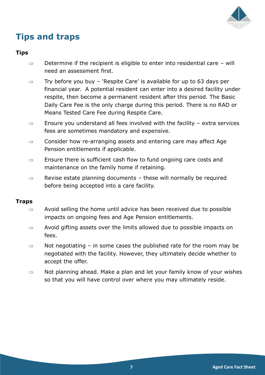

## **Tips and traps**

#### **Tips**

- $\Rightarrow$  Determine if the recipient is eligible to enter into residential care will need an assessment first.
- $\Rightarrow$  Try before you buy 'Respite Care' is available for up to 63 days per financial year. A potential resident can enter into a desired facility under respite, then become a permanent resident after this period. The Basic Daily Care Fee is the only charge during this period. There is no RAD or Means Tested Care Fee during Respite Care.
- $\Rightarrow$  Ensure you understand all fees involved with the facility extra services fees are sometimes mandatory and expensive.
- $\Rightarrow$  Consider how re-arranging assets and entering care may affect Age Pension entitlements if applicable.
- $\Rightarrow$  Ensure there is sufficient cash flow to fund ongoing care costs and maintenance on the family home if retaining.
- $\Rightarrow$  Revise estate planning documents these will normally be required before being accepted into a care facility.

#### **Traps**

- $\Rightarrow$  Avoid selling the home until advice has been received due to possible impacts on ongoing fees and Age Pension entitlements.
- $\Rightarrow$  Avoid gifting assets over the limits allowed due to possible impacts on fees.
- $\Rightarrow$  Not negotiating in some cases the published rate for the room may be negotiated with the facility. However, they ultimately decide whether to accept the offer.
- $\Rightarrow$  Not planning ahead. Make a plan and let your family know of your wishes so that you will have control over where you may ultimately reside.